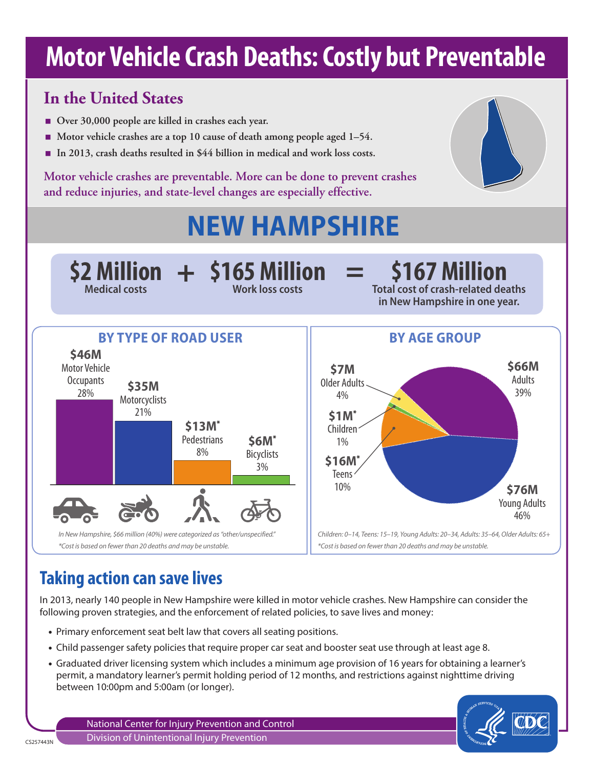# **Motor Vehicle Crash Deaths: Costly but Preventable**

### **In the United States**

- Over 30,000 people are killed in crashes each year.
- Motor vehicle crashes are a top 10 cause of death among people aged 1–54.
- **In 2013, crash deaths resulted in \$44 billion in medical and work loss costs.**

**Motor vehicle crashes are preventable. More can be done to prevent crashes and reduce injuries, and state-level changes are especially effective.**

# **NEW HAMPSHIRE**



# **Taking action can save lives**

In 2013, nearly 140 people in New Hampshire were killed in motor vehicle crashes. New Hampshire can consider the following proven strategies, and the enforcement of related policies, to save lives and money:

- Primary enforcement seat belt law that covers all seating positions.
- Child passenger safety policies that require proper car seat and booster seat use through at least age 8.
- Graduated driver licensing system which includes a minimum age provision of 16 years for obtaining a learner's permit, a mandatory learner's permit holding period of 12 months, and restrictions against nighttime driving between 10:00pm and 5:00am (or longer).

National Center for Injury Prevention and Control Division of Unintentional Injury Prevention